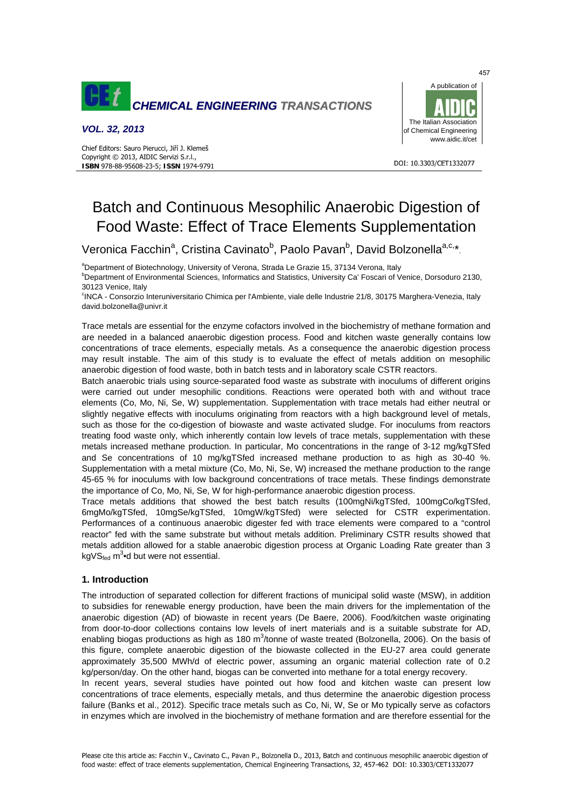

## *VOL. 32, 2013*

Chief Editors: Sauro Pierucci, Jiří J. Klemeš Copyright © 2013, AIDIC Servizi S.r.l., **ISBN** 978-88-95608-23-5; **ISSN** 1974-9791



#### DOI: 10.3303/CFT1332077

# Batch and Continuous Mesophilic Anaerobic Digestion of Food Waste: Effect of Trace Elements Supplementation

Veronica Facchin<sup>a</sup>, Cristina Cavinato<sup>b</sup>, Paolo Pavan<sup>b</sup>, David Bolzonella<sup>a,c,\*</sup>.

<sup>a</sup>Department of Biotechnology, University of Verona, Strada Le Grazie 15, 37134 Verona, Italy

b Department of Environmental Sciences, Informatics and Statistics, University Ca' Foscari of Venice, Dorsoduro 2130, 30123 Venice, Italy

<sup>c</sup>INCA - Consorzio Interuniversitario Chimica per l'Ambiente, viale delle Industrie 21/8, 30175 Marghera-Venezia, Italy david.bolzonella@univr.it

Trace metals are essential for the enzyme cofactors involved in the biochemistry of methane formation and are needed in a balanced anaerobic digestion process. Food and kitchen waste generally contains low concentrations of trace elements, especially metals. As a consequence the anaerobic digestion process may result instable. The aim of this study is to evaluate the effect of metals addition on mesophilic anaerobic digestion of food waste, both in batch tests and in laboratory scale CSTR reactors.

Batch anaerobic trials using source-separated food waste as substrate with inoculums of different origins were carried out under mesophilic conditions. Reactions were operated both with and without trace elements (Co, Mo, Ni, Se, W) supplementation. Supplementation with trace metals had either neutral or slightly negative effects with inoculums originating from reactors with a high background level of metals, such as those for the co-digestion of biowaste and waste activated sludge. For inoculums from reactors treating food waste only, which inherently contain low levels of trace metals, supplementation with these metals increased methane production. In particular, Mo concentrations in the range of 3-12 mg/kgTSfed and Se concentrations of 10 mg/kgTSfed increased methane production to as high as 30-40 %. Supplementation with a metal mixture (Co, Mo, Ni, Se, W) increased the methane production to the range 45-65 % for inoculums with low background concentrations of trace metals. These findings demonstrate the importance of Co, Mo, Ni, Se, W for high-performance anaerobic digestion process.

Trace metals additions that showed the best batch results (100mgNi/kgTSfed, 100mgCo/kgTSfed, 6mgMo/kgTSfed, 10mgSe/kgTSfed, 10mgW/kgTSfed) were selected for CSTR experimentation. Performances of a continuous anaerobic digester fed with trace elements were compared to a "control reactor" fed with the same substrate but without metals addition. Preliminary CSTR results showed that metals addition allowed for a stable anaerobic digestion process at Organic Loading Rate greater than 3 kgVS<sub>fed</sub> m<sup>3</sup>•d but were not essential.

# **1. Introduction**

The introduction of separated collection for different fractions of municipal solid waste (MSW), in addition to subsidies for renewable energy production, have been the main drivers for the implementation of the anaerobic digestion (AD) of biowaste in recent years (De Baere, 2006). Food/kitchen waste originating from door-to-door collections contains low levels of inert materials and is a suitable substrate for AD, enabling biogas productions as high as 180 m<sup>3</sup>/tonne of waste treated (Bolzonella, 2006). On the basis of this figure, complete anaerobic digestion of the biowaste collected in the EU-27 area could generate approximately 35,500 MWh/d of electric power, assuming an organic material collection rate of 0.2 kg/person/day. On the other hand, biogas can be converted into methane for a total energy recovery.

In recent years, several studies have pointed out how food and kitchen waste can present low concentrations of trace elements, especially metals, and thus determine the anaerobic digestion process failure (Banks et al., 2012). Specific trace metals such as Co, Ni, W, Se or Mo typically serve as cofactors in enzymes which are involved in the biochemistry of methane formation and are therefore essential for the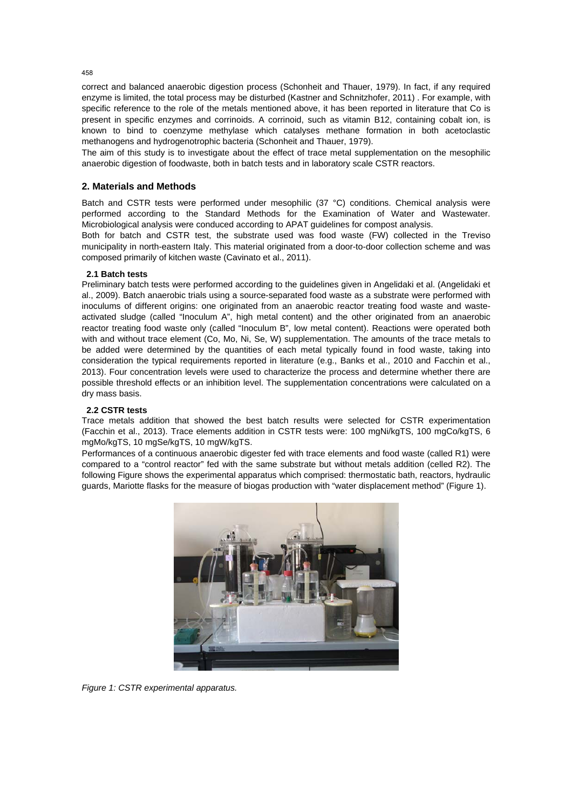correct and balanced anaerobic digestion process (Schonheit and Thauer, 1979). In fact, if any required enzyme is limited, the total process may be disturbed (Kastner and Schnitzhofer, 2011) . For example, with specific reference to the role of the metals mentioned above, it has been reported in literature that Co is present in specific enzymes and corrinoids. A corrinoid, such as vitamin B12, containing cobalt ion, is known to bind to coenzyme methylase which catalyses methane formation in both acetoclastic methanogens and hydrogenotrophic bacteria (Schonheit and Thauer, 1979).

The aim of this study is to investigate about the effect of trace metal supplementation on the mesophilic anaerobic digestion of foodwaste, both in batch tests and in laboratory scale CSTR reactors.

# **2. Materials and Methods**

Batch and CSTR tests were performed under mesophilic (37 °C) conditions. Chemical analysis were performed according to the Standard Methods for the Examination of Water and Wastewater. Microbiological analysis were conduced according to APAT guidelines for compost analysis.

Both for batch and CSTR test, the substrate used was food waste (FW) collected in the Treviso municipality in north-eastern Italy. This material originated from a door-to-door collection scheme and was composed primarily of kitchen waste (Cavinato et al., 2011).

## **2.1 Batch tests**

Preliminary batch tests were performed according to the guidelines given in Angelidaki et al. (Angelidaki et al., 2009). Batch anaerobic trials using a source-separated food waste as a substrate were performed with inoculums of different origins: one originated from an anaerobic reactor treating food waste and wasteactivated sludge (called "Inoculum A", high metal content) and the other originated from an anaerobic reactor treating food waste only (called "Inoculum B", low metal content). Reactions were operated both with and without trace element (Co, Mo, Ni, Se, W) supplementation. The amounts of the trace metals to be added were determined by the quantities of each metal typically found in food waste, taking into consideration the typical requirements reported in literature (e.g., Banks et al., 2010 and Facchin et al., 2013). Four concentration levels were used to characterize the process and determine whether there are possible threshold effects or an inhibition level. The supplementation concentrations were calculated on a dry mass basis.

## **2.2 CSTR tests**

Trace metals addition that showed the best batch results were selected for CSTR experimentation (Facchin et al., 2013). Trace elements addition in CSTR tests were: 100 mgNi/kgTS, 100 mgCo/kgTS, 6 mgMo/kgTS, 10 mgSe/kgTS, 10 mgW/kgTS.

Performances of a continuous anaerobic digester fed with trace elements and food waste (called R1) were compared to a "control reactor" fed with the same substrate but without metals addition (celled R2). The following Figure shows the experimental apparatus which comprised: thermostatic bath, reactors, hydraulic guards, Mariotte flasks for the measure of biogas production with "water displacement method" (Figure 1).



*Figure 1: CSTR experimental apparatus.* 

458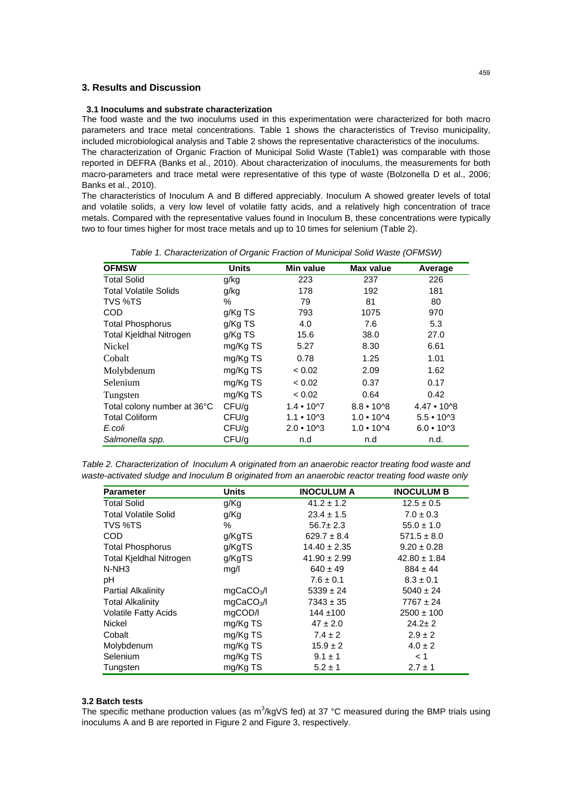### **3. Results and Discussion**

### **3.1 Inoculums and substrate characterization**

The food waste and the two inoculums used in this experimentation were characterized for both macro parameters and trace metal concentrations. Table 1 shows the characteristics of Treviso municipality, included microbiological analysis and Table 2 shows the representative characteristics of the inoculums. The characterization of Organic Fraction of Municipal Solid Waste (Table1) was comparable with those reported in DEFRA (Banks et al., 2010). About characterization of inoculums, the measurements for both macro-parameters and trace metal were representative of this type of waste (Bolzonella D et al., 2006; Banks et al., 2010).

The characteristics of Inoculum A and B differed appreciably. Inoculum A showed greater levels of total and volatile solids, a very low level of volatile fatty acids, and a relatively high concentration of trace metals. Compared with the representative values found in Inoculum B, these concentrations were typically two to four times higher for most trace metals and up to 10 times for selenium (Table 2).

| <b>OFMSW</b>                 | <b>Units</b> | Min value           | <b>Max value</b>   | Average             |  |
|------------------------------|--------------|---------------------|--------------------|---------------------|--|
| <b>Total Solid</b>           | g/kg         | 223                 | 237                | 226                 |  |
| <b>Total Volatile Solids</b> | g/kg         | 178                 | 192                | 181                 |  |
| TVS %TS                      | %            | 79                  | 81                 | 80                  |  |
| <b>COD</b>                   | g/Kg TS      | 793                 | 1075               | 970                 |  |
| <b>Total Phosphorus</b>      | g/Kg TS      | 4.0                 | 7.6                | 5.3                 |  |
| Total Kjeldhal Nitrogen      | g/Kg TS      | 15.6                | 38.0               | 27.0                |  |
| Nickel                       | mg/Kg TS     | 5.27                | 8.30               | 6.61                |  |
| Cobalt                       | mg/Kg TS     | 0.78                | 1.25               | 1.01                |  |
| Molybdenum                   | mg/Kg TS     | < 0.02              | 2.09               | 1.62                |  |
| Selenium                     | mg/Kg TS     | < 0.02              | 0.37               | 0.17                |  |
| Tungsten                     | mg/Kg TS     | < 0.02              | 0.64               | 0.42                |  |
| Total colony number at 36°C  | CFU/q        | $1.4 \cdot 10^{3}$  | $8.8 \cdot 10^{8}$ | $4.47 \cdot 10^{8}$ |  |
| <b>Total Coliform</b>        | CFU/q        | $1.1 \cdot 10^{4}3$ | $1.0 \cdot 10^{4}$ | $5.5 \cdot 10^{4}3$ |  |
| E.coli                       | CFU/q        | $2.0 \cdot 10^{3}$  | $1.0 \cdot 10^{4}$ | $6.0 \cdot 10^{3}$  |  |
| Salmonella spp.              | CFU/g        | n.d                 | n.d                | n.d.                |  |

*Table 1. Characterization of Organic Fraction of Municipal Solid Waste (OFMSW)* 

*Table 2. Characterization of Inoculum A originated from an anaerobic reactor treating food waste and*  waste-activated sludge and Inoculum B originated from an anaerobic reactor treating food waste only

| <b>Parameter</b>            | <b>Units</b>           | <b>INOCULUM A</b> | <b>INOCULUM B</b> |
|-----------------------------|------------------------|-------------------|-------------------|
| <b>Total Solid</b>          | g/Kg                   | $41.2 \pm 1.2$    | $12.5 \pm 0.5$    |
| <b>Total Volatile Solid</b> | g/Kg                   | $23.4 \pm 1.5$    | $7.0 \pm 0.3$     |
| TVS %TS                     | $\%$                   | $56.7 \pm 2.3$    | $55.0 \pm 1.0$    |
| COD                         | g/KgTS                 | $629.7 \pm 8.4$   | $571.5 \pm 8.0$   |
| <b>Total Phosphorus</b>     | g/KgTS                 | $14.40 \pm 2.35$  | $9.20 \pm 0.28$   |
| Total Kjeldhal Nitrogen     | g/KgTS                 | $41.90 \pm 2.99$  | $42.80 \pm 1.84$  |
| N-NH <sub>3</sub>           | mq/l                   | $640 \pm 49$      | $884 \pm 44$      |
| рH                          |                        | $7.6 \pm 0.1$     | $8.3 \pm 0.1$     |
| Partial Alkalinity          | mgCaCO <sub>3</sub> /I | $5339 \pm 24$     | $5040 \pm 24$     |
| <b>Total Alkalinity</b>     | mgCaCO <sub>3</sub> /I | $7343 \pm 35$     | $7767 \pm 24$     |
| <b>Volatile Fatty Acids</b> | mgCOD/l                | $144 + 100$       | $2500 \pm 100$    |
| Nickel                      | mg/Kg TS               | $47 \pm 2.0$      | $24.2 \pm 2$      |
| Cobalt                      | mg/Kg TS               | $7.4 \pm 2$       | $2.9 \pm 2$       |
| Molybdenum                  | mg/Kg TS               | $15.9 \pm 2$      | $4.0 \pm 2$       |
| <b>Selenium</b>             | mg/Kg TS               | $9.1 \pm 1$       | < 1               |
| Tungsten                    | mg/Kg TS               | $5.2 \pm 1$       | $2.7 \pm 1$       |

#### **3.2 Batch tests**

The specific methane production values (as m<sup>3</sup>/kgVS fed) at 37 °C measured during the BMP trials using inoculums A and B are reported in Figure 2 and Figure 3, respectively.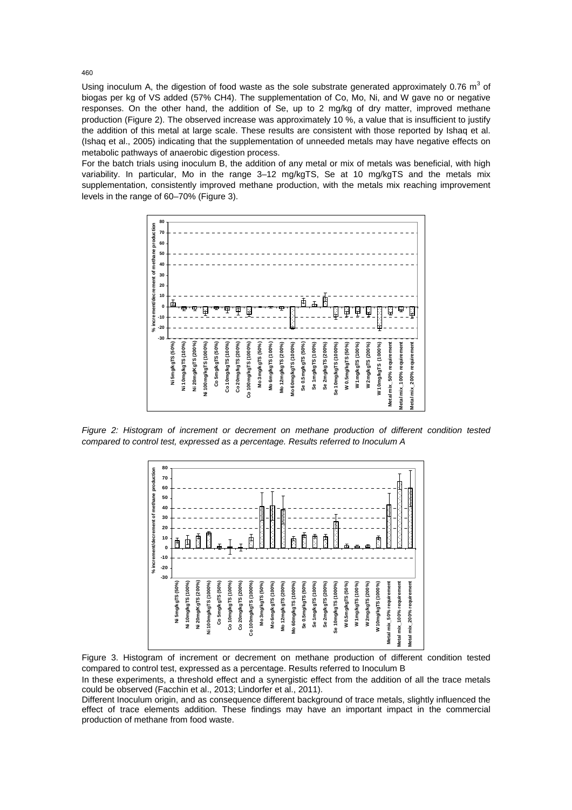Using inoculum A, the digestion of food waste as the sole substrate generated approximately 0.76  $m^3$  of biogas per kg of VS added (57% CH4). The supplementation of Co, Mo, Ni, and W gave no or negative responses. On the other hand, the addition of Se, up to 2 mg/kg of dry matter, improved methane production (Figure 2). The observed increase was approximately 10 %, a value that is insufficient to justify the addition of this metal at large scale. These results are consistent with those reported by Ishaq et al. (Ishaq et al., 2005) indicating that the supplementation of unneeded metals may have negative effects on metabolic pathways of anaerobic digestion process.

For the batch trials using inoculum B, the addition of any metal or mix of metals was beneficial, with high variability. In particular, Mo in the range 3–12 mg/kgTS, Se at 10 mg/kgTS and the metals mix supplementation, consistently improved methane production, with the metals mix reaching improvement levels in the range of 60–70% (Figure 3).



*Figure 2: Histogram of increment or decrement on methane production of different condition tested compared to control test, expressed as a percentage. Results referred to Inoculum A* 



Figure 3. Histogram of increment or decrement on methane production of different condition tested compared to control test, expressed as a percentage. Results referred to Inoculum B

In these experiments, a threshold effect and a synergistic effect from the addition of all the trace metals could be observed (Facchin et al., 2013; Lindorfer et al., 2011).

Different Inoculum origin, and as consequence different background of trace metals, slightly influenced the effect of trace elements addition. These findings may have an important impact in the commercial production of methane from food waste.

460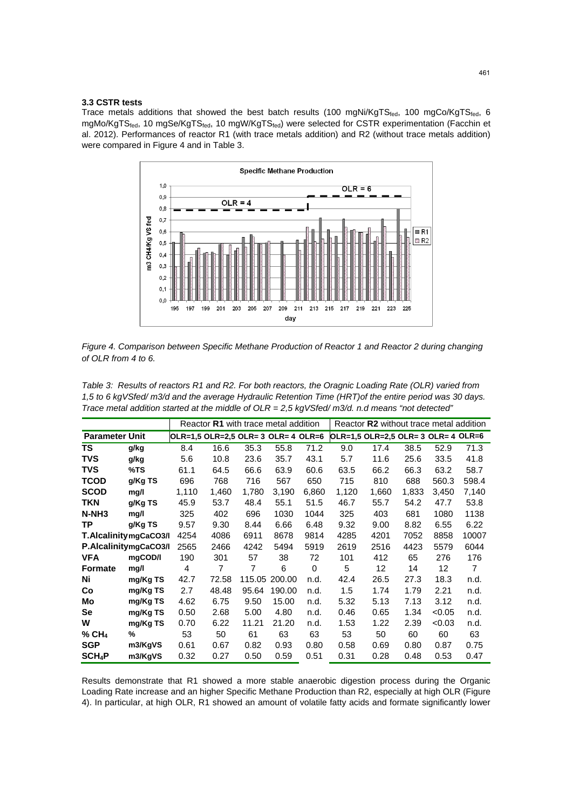#### **3.3 CSTR tests**

Trace metals additions that showed the best batch results (100 mgNi/KgTSfed, 100 mgCo/KgTSfed, 6 mgMo/KgTSfed, 10 mgSe/KgTSfed, 10 mgW/KgTSfed) were selected for CSTR experimentation (Facchin et al. 2012). Performances of reactor R1 (with trace metals addition) and R2 (without trace metals addition) were compared in Figure 4 and in Table 3.



*Figure 4. Comparison between Specific Methane Production of Reactor 1 and Reactor 2 during changing of OLR from 4 to 6.* 

|                       |                       |       | Reactor R1 with trace metal addition |                |               | Reactor R2 without trace metal addition |                                     |       |       |                 |                |
|-----------------------|-----------------------|-------|--------------------------------------|----------------|---------------|-----------------------------------------|-------------------------------------|-------|-------|-----------------|----------------|
| <b>Parameter Unit</b> |                       |       | OLR=1,5 OLR=2,5 OLR= 3 OLR= 4 OLR=6  |                |               |                                         | OLR=1,5 OLR=2,5 OLR= 3 OLR= 4 OLR=6 |       |       |                 |                |
| TS                    | g/kg                  | 8.4   | 16.6                                 | 35.3           | 55.8          | 71.2                                    | 9.0                                 | 17.4  | 38.5  | 52.9            | 71.3           |
| <b>TVS</b>            | g/kg                  | 5.6   | 10.8                                 | 23.6           | 35.7          | 43.1                                    | 5.7                                 | 11.6  | 25.6  | 33.5            | 41.8           |
| <b>TVS</b>            | %TS                   | 61.1  | 64.5                                 | 66.6           | 63.9          | 60.6                                    | 63.5                                | 66.2  | 66.3  | 63.2            | 58.7           |
| <b>TCOD</b>           | g/Kg TS               | 696   | 768                                  | 716            | 567           | 650                                     | 715                                 | 810   | 688   | 560.3           | 598.4          |
| <b>SCOD</b>           | mq/l                  | 1,110 | 1,460                                | 1,780          | 3,190         | 6,860                                   | 1,120                               | 1,660 | 1,833 | 3,450           | 7,140          |
| <b>TKN</b>            | g/Kg TS               | 45.9  | 53.7                                 | 48.4           | 55.1          | 51.5                                    | 46.7                                | 55.7  | 54.2  | 47.7            | 53.8           |
| $N-NH3$               | mg/l                  | 325   | 402                                  | 696            | 1030          | 1044                                    | 325                                 | 403   | 681   | 1080            | 1138           |
| ТP                    | g/Kg TS               | 9.57  | 9.30                                 | 8.44           | 6.66          | 6.48                                    | 9.32                                | 9.00  | 8.82  | 6.55            | 6.22           |
|                       | T.AlcalinitymgCaCO3/I | 4254  | 4086                                 | 6911           | 8678          | 9814                                    | 4285                                | 4201  | 7052  | 8858            | 10007          |
| P.AlcalinitymgCaCO3/I |                       | 2565  | 2466                                 | 4242           | 5494          | 5919                                    | 2619                                | 2516  | 4423  | 5579            | 6044           |
| <b>VFA</b>            | mgCOD/I               | 190   | 301                                  | 57             | 38            | 72                                      | 101                                 | 412   | 65    | 276             | 176            |
| <b>Formate</b>        | mq/l                  | 4     | $\overline{7}$                       | $\overline{7}$ | 6             | $\Omega$                                | 5                                   | 12    | 14    | 12 <sup>2</sup> | $\overline{7}$ |
| Ni                    | mg/Kg TS              | 42.7  | 72.58                                |                | 115.05 200.00 | n.d.                                    | 42.4                                | 26.5  | 27.3  | 18.3            | n.d.           |
| Co                    | mg/Kg TS              | 2.7   | 48.48                                | 95.64          | 190.00        | n.d.                                    | 1.5                                 | 1.74  | 1.79  | 2.21            | n.d.           |
| Mo                    | mg/Kg TS              | 4.62  | 6.75                                 | 9.50           | 15.00         | n.d.                                    | 5.32                                | 5.13  | 7.13  | 3.12            | n.d.           |
| Se                    | mg/Kg TS              | 0.50  | 2.68                                 | 5.00           | 4.80          | n.d.                                    | 0.46                                | 0.65  | 1.34  | < 0.05          | n.d.           |
| W                     | mg/Kg TS              | 0.70  | 6.22                                 | 11.21          | 21.20         | n.d.                                    | 1.53                                | 1.22  | 2.39  | < 0.03          | n.d.           |
| $\%$ CH <sub>4</sub>  | %                     | 53    | 50                                   | 61             | 63            | 63                                      | 53                                  | 50    | 60    | 60              | 63             |
| <b>SGP</b>            | m3/KgVS               | 0.61  | 0.67                                 | 0.82           | 0.93          | 0.80                                    | 0.58                                | 0.69  | 0.80  | 0.87            | 0.75           |
| $SCH_4P$              | m3/KgVS               | 0.32  | 0.27                                 | 0.50           | 0.59          | 0.51                                    | 0.31                                | 0.28  | 0.48  | 0.53            | 0.47           |

*Table 3: Results of reactors R1 and R2. For both reactors, the Oragnic Loading Rate (OLR) varied from 1,5 to 6 kgVSfed/ m3/d and the average Hydraulic Retention Time (HRT)of the entire period was 30 days. Trace metal addition started at the middle of OLR = 2,5 kgVSfed/ m3/d. n.d means "not detected"* 

Results demonstrate that R1 showed a more stable anaerobic digestion process during the Organic Loading Rate increase and an higher Specific Methane Production than R2, especially at high OLR (Figure 4). In particular, at high OLR, R1 showed an amount of volatile fatty acids and formate significantly lower